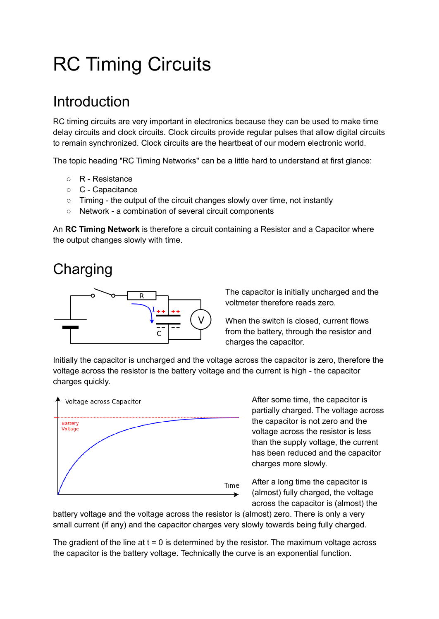# RC Timing Circuits

# **Introduction**

RC timing circuits are very important in electronics because they can be used to make time delay circuits and clock circuits. Clock circuits provide regular pulses that allow digital circuits to remain synchronized. Clock circuits are the heartbeat of our modern electronic world.

The topic heading "RC Timing Networks" can be a little hard to understand at first glance:

- R Resistance
- C Capacitance
- Timing the output of the circuit changes slowly over time, not instantly
- Network a combination of several circuit components

An **RC Timing Network** is therefore a circuit containing a Resistor and a Capacitor where the output changes slowly with time.

# **Charging**



The capacitor is initially uncharged and the voltmeter therefore reads zero.

When the switch is closed, current flows from the battery, through the resistor and charges the capacitor.

Initially the capacitor is uncharged and the voltage across the capacitor is zero, therefore the voltage across the resistor is the battery voltage and the current is high - the capacitor charges quickly.



After some time, the capacitor is partially charged. The voltage across the capacitor is not zero and the voltage across the resistor is less than the supply voltage, the current has been reduced and the capacitor charges more slowly.

After a long time the capacitor is (almost) fully charged, the voltage across the capacitor is (almost) the

battery voltage and the voltage across the resistor is (almost) zero. There is only a very small current (if any) and the capacitor charges very slowly towards being fully charged.

The gradient of the line at  $t = 0$  is determined by the resistor. The maximum voltage across the capacitor is the battery voltage. Technically the curve is an exponential function.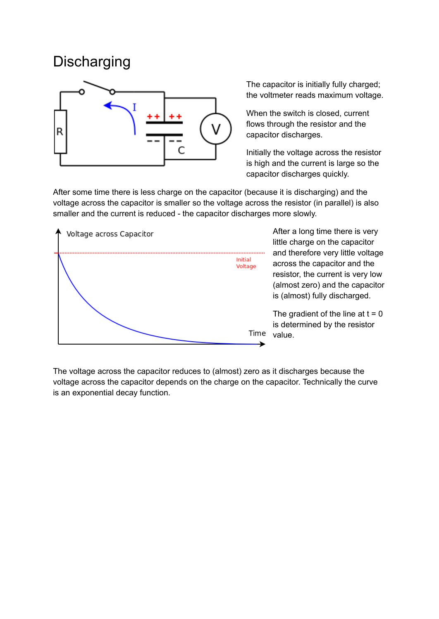### **Discharging**



The capacitor is initially fully charged; the voltmeter reads maximum voltage.

When the switch is closed, current flows through the resistor and the capacitor discharges.

Initially the voltage across the resistor is high and the current is large so the capacitor discharges quickly.

After some time there is less charge on the capacitor (because it is discharging) and the voltage across the capacitor is smaller so the voltage across the resistor (in parallel) is also smaller and the current is reduced - the capacitor discharges more slowly.



After a long time there is very little charge on the capacitor and therefore very little voltage across the capacitor and the resistor, the current is very low (almost zero) and the capacitor is (almost) fully discharged.

The gradient of the line at  $t = 0$ is determined by the resistor Time value.

The voltage across the capacitor reduces to (almost) zero as it discharges because the voltage across the capacitor depends on the charge on the capacitor. Technically the curve is an exponential decay function.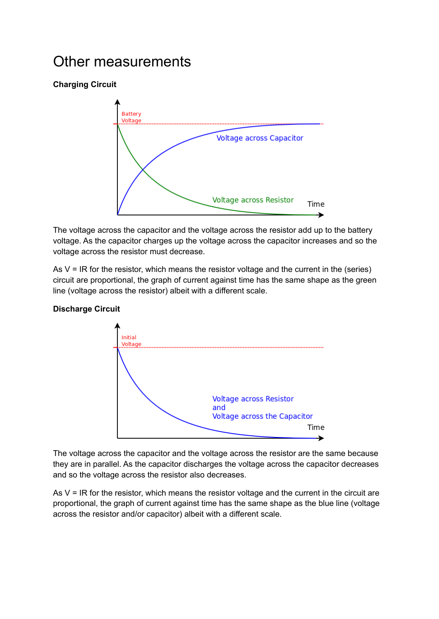### Other measurements

#### **Charging Circuit**



The voltage across the capacitor and the voltage across the resistor add up to the battery voltage. As the capacitor charges up the voltage across the capacitor increases and so the voltage across the resistor must decrease.

As  $V = IR$  for the resistor, which means the resistor voltage and the current in the (series) circuit are proportional, the graph of current against time has the same shape as the green line (voltage across the resistor) albeit with a different scale.



**Discharge Circuit**

The voltage across the capacitor and the voltage across the resistor are the same because they are in parallel. As the capacitor discharges the voltage across the capacitor decreases and so the voltage across the resistor also decreases.

As  $V = IR$  for the resistor, which means the resistor voltage and the current in the circuit are proportional, the graph of current against time has the same shape as the blue line (voltage across the resistor and/or capacitor) albeit with a different scale.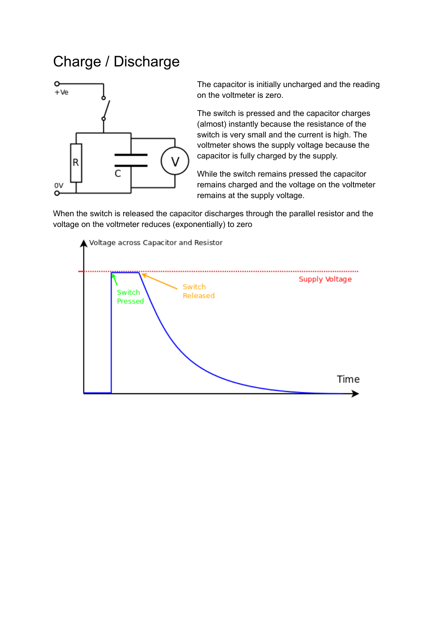# Charge / Discharge



The capacitor is initially uncharged and the reading on the voltmeter is zero.

The switch is pressed and the capacitor charges (almost) instantly because the resistance of the switch is very small and the current is high. The voltmeter shows the supply voltage because the capacitor is fully charged by the supply.

While the switch remains pressed the capacitor remains charged and the voltage on the voltmeter remains at the supply voltage.

When the switch is released the capacitor discharges through the parallel resistor and the voltage on the voltmeter reduces (exponentially) to zero

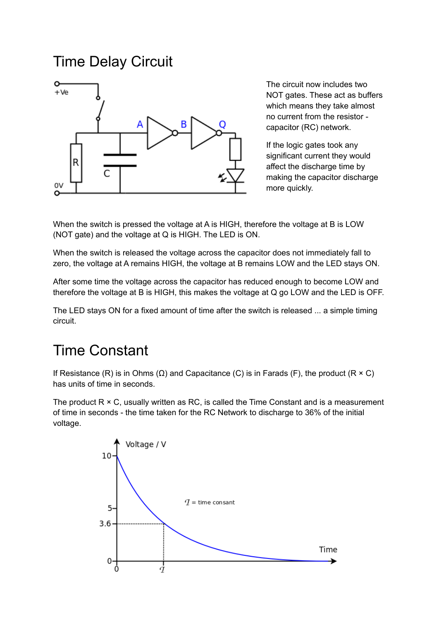### Time Delay Circuit



The circuit now includes two NOT gates. These act as buffers which means they take almost no current from the resistor capacitor (RC) network.

If the logic gates took any significant current they would affect the discharge time by making the capacitor discharge more quickly.

When the switch is pressed the voltage at A is HIGH, therefore the voltage at B is LOW (NOT gate) and the voltage at Q is HIGH. The LED is ON.

When the switch is released the voltage across the capacitor does not immediately fall to zero, the voltage at A remains HIGH, the voltage at B remains LOW and the LED stays ON.

After some time the voltage across the capacitor has reduced enough to become LOW and therefore the voltage at B is HIGH, this makes the voltage at Q go LOW and the LED is OFF.

The LED stays ON for a fixed amount of time after the switch is released ... a simple timing circuit.

# Time Constant

If Resistance (R) is in Ohms ( $\Omega$ ) and Capacitance (C) is in Farads (F), the product (R  $\times$  C) has units of time in seconds.

The product  $R \times C$ , usually written as RC, is called the Time Constant and is a measurement of time in seconds - the time taken for the RC Network to discharge to 36% of the initial voltage.

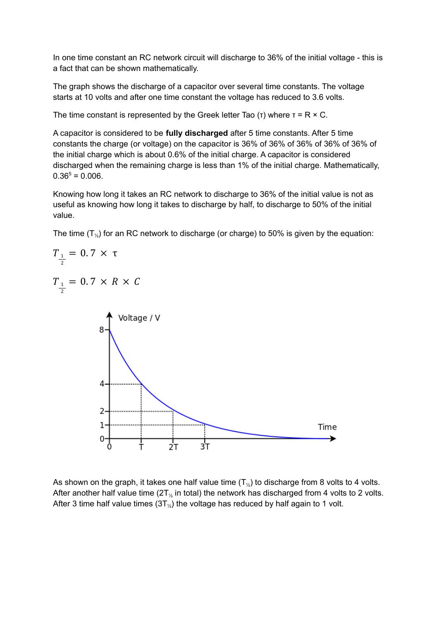In one time constant an RC network circuit will discharge to 36% of the initial voltage - this is a fact that can be shown mathematically.

The graph shows the discharge of a capacitor over several time constants. The voltage starts at 10 volts and after one time constant the voltage has reduced to 3.6 volts.

The time constant is represented by the Greek letter Tao (τ) where  $\tau = R \times C$ .

A capacitor is considered to be **fully discharged** after 5 time constants. After 5 time constants the charge (or voltage) on the capacitor is 36% of 36% of 36% of 36% of 36% of the initial charge which is about 0.6% of the initial charge. A capacitor is considered discharged when the remaining charge is less than 1% of the initial charge. Mathematically,  $0.36^5 = 0.006$ .

Knowing how long it takes an RC network to discharge to 36% of the initial value is not as useful as knowing how long it takes to discharge by half, to discharge to 50% of the initial value.

The time  $(T_{\%})$  for an RC network to discharge (or charge) to 50% is given by the equation:



As shown on the graph, it takes one half value time  $(T_{\gamma_2})$  to discharge from 8 volts to 4 volts. After another half value time ( $2T<sub>%</sub>$  in total) the network has discharged from 4 volts to 2 volts. After 3 time half value times  $(3T<sub>\%</sub>)$  the voltage has reduced by half again to 1 volt.